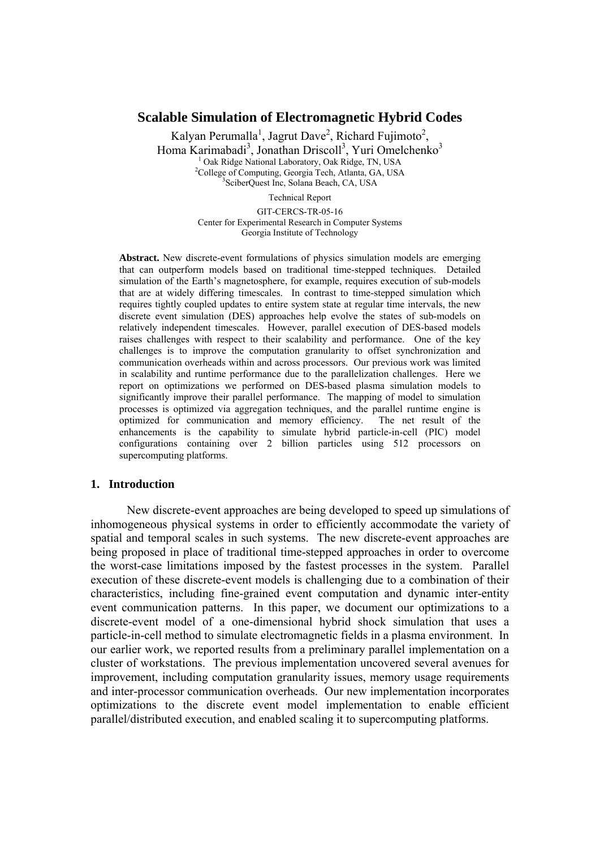# **Scalable Simulation of Electromagnetic Hybrid Codes**

Kalyan Perumalla<sup>1</sup>, Jagrut Dave<sup>2</sup>, Richard Fujimoto<sup>2</sup>, Homa Karimabadi<sup>3</sup>, Jonathan Driscoll<sup>3</sup>, Yuri Omelchenko<sup>3</sup> Oak Ridge National Laboratory, Oak Ridge, TN, USA <sup>2</sup>College of Computing, Georgia Tech, Atlanta, GA, USA <sup>3</sup>SciberQuest Inc, Solana Beach, CA, USA 1

Technical Report

GIT-CERCS-TR-05-16 Center for Experimental Research in Computer Systems Georgia Institute of Technology

**Abstract.** New discrete-event formulations of physics simulation models are emerging that can outperform models based on traditional time-stepped techniques. Detailed simulation of the Earth's magnetosphere, for example, requires execution of sub-models that are at widely differing timescales. In contrast to time-stepped simulation which requires tightly coupled updates to entire system state at regular time intervals, the new discrete event simulation (DES) approaches help evolve the states of sub-models on relatively independent timescales. However, parallel execution of DES-based models raises challenges with respect to their scalability and performance. One of the key challenges is to improve the computation granularity to offset synchronization and communication overheads within and across processors. Our previous work was limited in scalability and runtime performance due to the parallelization challenges. Here we report on optimizations we performed on DES-based plasma simulation models to significantly improve their parallel performance. The mapping of model to simulation processes is optimized via aggregation techniques, and the parallel runtime engine is optimized for communication and memory efficiency. The net result of the enhancements is the capability to simulate hybrid particle-in-cell (PIC) model configurations containing over 2 billion particles using 512 processors on supercomputing platforms.

## **1. Introduction**

New discrete-event approaches are being developed to speed up simulations of inhomogeneous physical systems in order to efficiently accommodate the variety of spatial and temporal scales in such systems. The new discrete-event approaches are being proposed in place of traditional time-stepped approaches in order to overcome the worst-case limitations imposed by the fastest processes in the system. Parallel execution of these discrete-event models is challenging due to a combination of their characteristics, including fine-grained event computation and dynamic inter-entity event communication patterns. In this paper, we document our optimizations to a discrete-event model of a one-dimensional hybrid shock simulation that uses a particle-in-cell method to simulate electromagnetic fields in a plasma environment. In our earlier work, we reported results from a preliminary parallel implementation on a cluster of workstations. The previous implementation uncovered several avenues for improvement, including computation granularity issues, memory usage requirements and inter-processor communication overheads. Our new implementation incorporates optimizations to the discrete event model implementation to enable efficient parallel/distributed execution, and enabled scaling it to supercomputing platforms.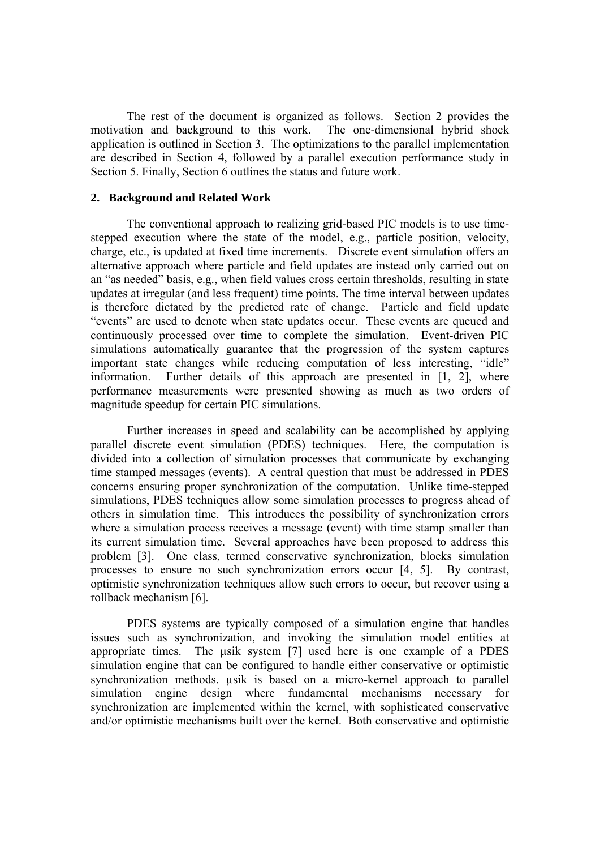The rest of the document is organized as follows. Section [2](#page-1-0) provides the motivation and background to this work. The one-dimensional hybrid shock application is outlined in Section [3](#page-2-0). The optimizations to the parallel implementation are described in Section [4,](#page-3-0) followed by a parallel execution performance study in Section [5](#page-5-0). Finally, Section [6](#page-9-0) outlines the status and future work.

## <span id="page-1-0"></span>**2. Background and Related Work**

The conventional approach to realizing grid-based PIC models is to use timestepped execution where the state of the model, e.g., particle position, velocity, charge, etc., is updated at fixed time increments. Discrete event simulation offers an alternative approach where particle and field updates are instead only carried out on an "as needed" basis, e.g., when field values cross certain thresholds, resulting in state updates at irregular (and less frequent) time points. The time interval between updates is therefore dictated by the predicted rate of change. Particle and field update "events" are used to denote when state updates occur. These events are queued and continuously processed over time to complete the simulation. Event-driven PIC simulations automatically guarantee that the progression of the system captures important state changes while reducing computation of less interesting, "idle" information. Further details of this approach are presented in [1, 2], where performance measurements were presented showing as much as two orders of magnitude speedup for certain PIC simulations.

Further increases in speed and scalability can be accomplished by applying parallel discrete event simulation (PDES) techniques. Here, the computation is divided into a collection of simulation processes that communicate by exchanging time stamped messages (events). A central question that must be addressed in PDES concerns ensuring proper synchronization of the computation. Unlike time-stepped simulations, PDES techniques allow some simulation processes to progress ahead of others in simulation time. This introduces the possibility of synchronization errors where a simulation process receives a message (event) with time stamp smaller than its current simulation time. Several approaches have been proposed to address this problem [3]. One class, termed conservative synchronization, blocks simulation processes to ensure no such synchronization errors occur [4, 5]. By contrast, optimistic synchronization techniques allow such errors to occur, but recover using a rollback mechanism [6].

PDES systems are typically composed of a simulation engine that handles issues such as synchronization, and invoking the simulation model entities at appropriate times. The µsik system [7] used here is one example of a PDES simulation engine that can be configured to handle either conservative or optimistic synchronization methods.  $\mu$ sik is based on a micro-kernel approach to parallel simulation engine design where fundamental mechanisms necessary for synchronization are implemented within the kernel, with sophisticated conservative and/or optimistic mechanisms built over the kernel. Both conservative and optimistic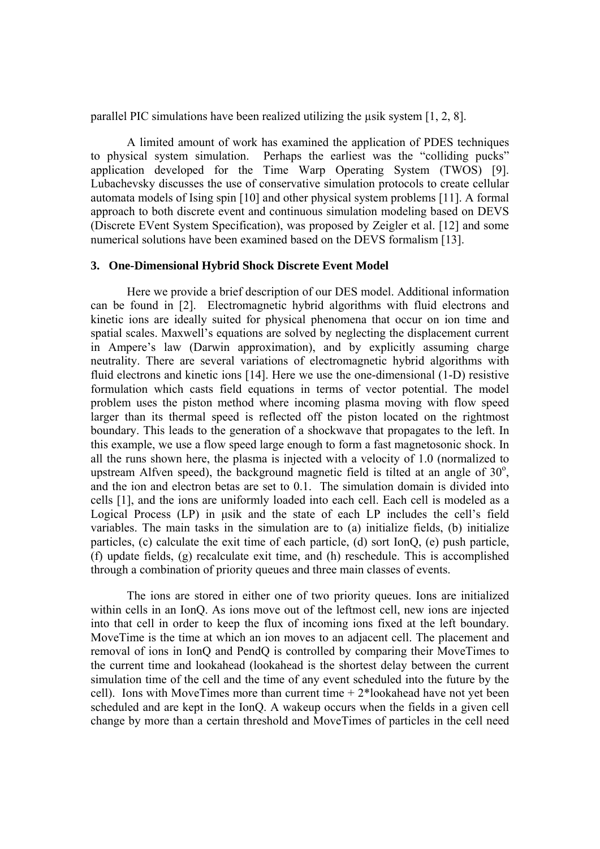parallel PIC simulations have been realized utilizing the µsik system [1, 2, 8].

A limited amount of work has examined the application of PDES techniques to physical system simulation. Perhaps the earliest was the "colliding pucks" application developed for the Time Warp Operating System (TWOS) [9]. Lubachevsky discusses the use of conservative simulation protocols to create cellular automata models of Ising spin [10] and other physical system problems [11]. A formal approach to both discrete event and continuous simulation modeling based on DEVS (Discrete EVent System Specification), was proposed by Zeigler et al. [12] and some numerical solutions have been examined based on the DEVS formalism [13].

#### <span id="page-2-0"></span>**3. One-Dimensional Hybrid Shock Discrete Event Model**

Here we provide a brief description of our DES model. Additional information can be found in [2]. Electromagnetic hybrid algorithms with fluid electrons and kinetic ions are ideally suited for physical phenomena that occur on ion time and spatial scales. Maxwell's equations are solved by neglecting the displacement current in Ampere's law (Darwin approximation), and by explicitly assuming charge neutrality. There are several variations of electromagnetic hybrid algorithms with fluid electrons and kinetic ions [14]. Here we use the one-dimensional (1-D) resistive formulation which casts field equations in terms of vector potential. The model problem uses the piston method where incoming plasma moving with flow speed larger than its thermal speed is reflected off the piston located on the rightmost boundary. This leads to the generation of a shockwave that propagates to the left. In this example, we use a flow speed large enough to form a fast magnetosonic shock. In all the runs shown here, the plasma is injected with a velocity of 1.0 (normalized to upstream Alfven speed), the background magnetic field is tilted at an angle of  $30^{\circ}$ , and the ion and electron betas are set to 0.1. The simulation domain is divided into cells [1], and the ions are uniformly loaded into each cell. Each cell is modeled as a Logical Process (LP) in μsik and the state of each LP includes the cell's field variables. The main tasks in the simulation are to (a) initialize fields, (b) initialize particles, (c) calculate the exit time of each particle, (d) sort IonQ, (e) push particle, (f) update fields, (g) recalculate exit time, and (h) reschedule. This is accomplished through a combination of priority queues and three main classes of events.

The ions are stored in either one of two priority queues. Ions are initialized within cells in an IonQ. As ions move out of the leftmost cell, new ions are injected into that cell in order to keep the flux of incoming ions fixed at the left boundary. MoveTime is the time at which an ion moves to an adjacent cell. The placement and removal of ions in IonQ and PendQ is controlled by comparing their MoveTimes to the current time and lookahead (lookahead is the shortest delay between the current simulation time of the cell and the time of any event scheduled into the future by the cell). Ions with MoveTimes more than current time  $+ 2*$ lookahead have not yet been scheduled and are kept in the IonQ. A wakeup occurs when the fields in a given cell change by more than a certain threshold and MoveTimes of particles in the cell need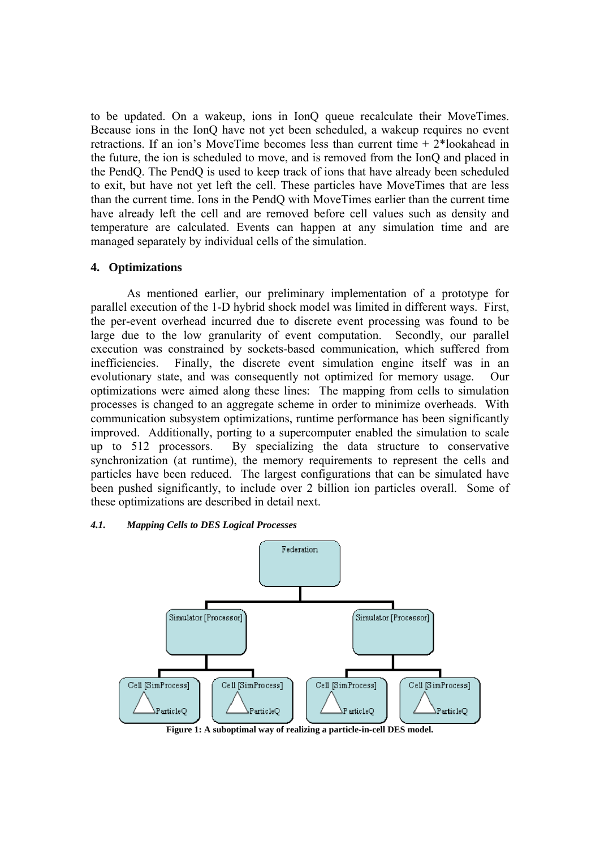to be updated. On a wakeup, ions in IonQ queue recalculate their MoveTimes. Because ions in the IonQ have not yet been scheduled, a wakeup requires no event retractions. If an ion's MoveTime becomes less than current time + 2\*lookahead in the future, the ion is scheduled to move, and is removed from the IonQ and placed in the PendQ. The PendQ is used to keep track of ions that have already been scheduled to exit, but have not yet left the cell. These particles have MoveTimes that are less than the current time. Ions in the PendQ with MoveTimes earlier than the current time have already left the cell and are removed before cell values such as density and temperature are calculated. Events can happen at any simulation time and are managed separately by individual cells of the simulation.

## <span id="page-3-0"></span>**4. Optimizations**

As mentioned earlier, our preliminary implementation of a prototype for parallel execution of the 1-D hybrid shock model was limited in different ways. First, the per-event overhead incurred due to discrete event processing was found to be large due to the low granularity of event computation. Secondly, our parallel execution was constrained by sockets-based communication, which suffered from inefficiencies. Finally, the discrete event simulation engine itself was in an evolutionary state, and was consequently not optimized for memory usage. Our optimizations were aimed along these lines: The mapping from cells to simulation processes is changed to an aggregate scheme in order to minimize overheads. With communication subsystem optimizations, runtime performance has been significantly improved. Additionally, porting to a supercomputer enabled the simulation to scale up to 512 processors. By specializing the data structure to conservative synchronization (at runtime), the memory requirements to represent the cells and particles have been reduced. The largest configurations that can be simulated have been pushed significantly, to include over 2 billion ion particles overall. Some of these optimizations are described in detail next.

## *4.1. Mapping Cells to DES Logical Processes*



<span id="page-3-1"></span>**Figure 1: A suboptimal way of realizing a particle-in-cell DES model.**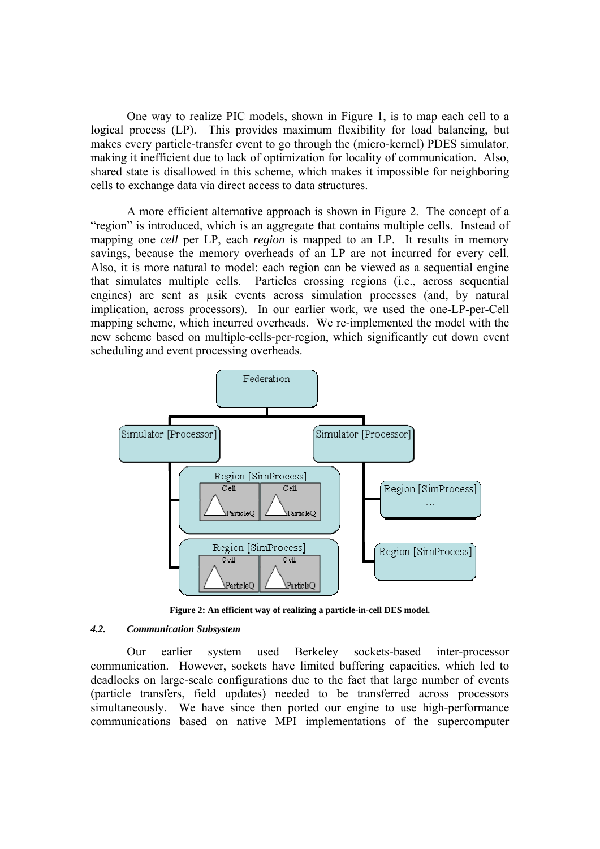One way to realize PIC models, shown in [Figure 1](#page-3-1), is to map each cell to a logical process (LP). This provides maximum flexibility for load balancing, but makes every particle-transfer event to go through the (micro-kernel) PDES simulator, making it inefficient due to lack of optimization for locality of communication. Also, shared state is disallowed in this scheme, which makes it impossible for neighboring cells to exchange data via direct access to data structures.

A more efficient alternative approach is shown in [Figure 2.](#page-4-0) The concept of a "region" is introduced, which is an aggregate that contains multiple cells. Instead of mapping one *cell* per LP, each *region* is mapped to an LP. It results in memory savings, because the memory overheads of an LP are not incurred for every cell. Also, it is more natural to model: each region can be viewed as a sequential engine that simulates multiple cells. Particles crossing regions (i.e., across sequential engines) are sent as µsik events across simulation processes (and, by natural implication, across processors). In our earlier work, we used the one-LP-per-Cell mapping scheme, which incurred overheads. We re-implemented the model with the new scheme based on multiple-cells-per-region, which significantly cut down event scheduling and event processing overheads.



**Figure 2: An efficient way of realizing a particle-in-cell DES model.** 

#### <span id="page-4-0"></span>*4.2. Communication Subsystem*

Our earlier system used Berkeley sockets-based inter-processor communication. However, sockets have limited buffering capacities, which led to deadlocks on large-scale configurations due to the fact that large number of events (particle transfers, field updates) needed to be transferred across processors simultaneously. We have since then ported our engine to use high-performance communications based on native MPI implementations of the supercomputer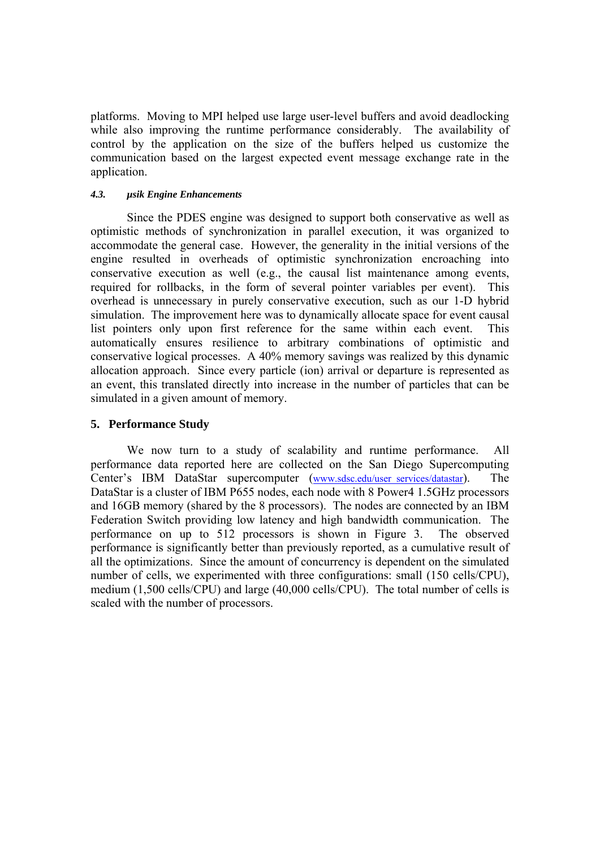platforms. Moving to MPI helped use large user-level buffers and avoid deadlocking while also improving the runtime performance considerably. The availability of control by the application on the size of the buffers helped us customize the communication based on the largest expected event message exchange rate in the application.

## *4.3. µsik Engine Enhancements*

Since the PDES engine was designed to support both conservative as well as optimistic methods of synchronization in parallel execution, it was organized to accommodate the general case. However, the generality in the initial versions of the engine resulted in overheads of optimistic synchronization encroaching into conservative execution as well (e.g., the causal list maintenance among events, required for rollbacks, in the form of several pointer variables per event). This overhead is unnecessary in purely conservative execution, such as our 1-D hybrid simulation. The improvement here was to dynamically allocate space for event causal list pointers only upon first reference for the same within each event. This automatically ensures resilience to arbitrary combinations of optimistic and conservative logical processes. A 40% memory savings was realized by this dynamic allocation approach. Since every particle (ion) arrival or departure is represented as an event, this translated directly into increase in the number of particles that can be simulated in a given amount of memory.

## <span id="page-5-0"></span>**5. Performance Study**

We now turn to a study of scalability and runtime performance. All performance data reported here are collected on the San Diego Supercomputing Center's IBM DataStar supercomputer ([www.sdsc.edu/user\\_services/datastar\)](http://www.sdsc.edu/user_services/datastar). The DataStar is a cluster of IBM P655 nodes, each node with 8 Power4 1.5GHz processors and 16GB memory (shared by the 8 processors). The nodes are connected by an IBM Federation Switch providing low latency and high bandwidth communication. The performance on up to 512 processors is shown in [Figure 3.](#page-6-0) The observed performance is significantly better than previously reported, as a cumulative result of all the optimizations. Since the amount of concurrency is dependent on the simulated number of cells, we experimented with three configurations: small (150 cells/CPU), medium (1,500 cells/CPU) and large (40,000 cells/CPU). The total number of cells is scaled with the number of processors.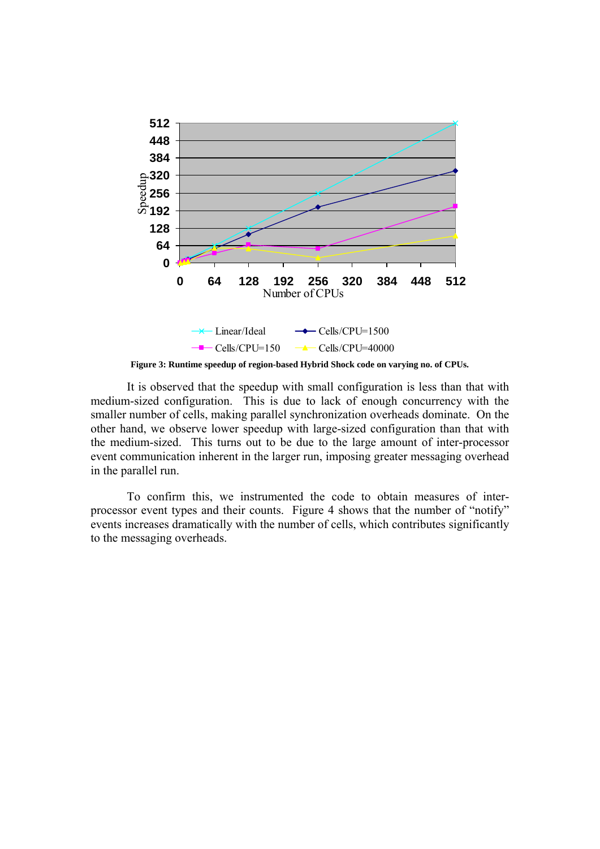

**Figure 3: Runtime speedup of region-based Hybrid Shock code on varying no. of CPUs.** 

<span id="page-6-0"></span>It is observed that the speedup with small configuration is less than that with medium-sized configuration. This is due to lack of enough concurrency with the smaller number of cells, making parallel synchronization overheads dominate. On the other hand, we observe lower speedup with large-sized configuration than that with the medium-sized. This turns out to be due to the large amount of inter-processor event communication inherent in the larger run, imposing greater messaging overhead in the parallel run.

To confirm this, we instrumented the code to obtain measures of interprocessor event types and their counts. [Figure 4](#page-7-0) shows that the number of "notify" events increases dramatically with the number of cells, which contributes significantly to the messaging overheads.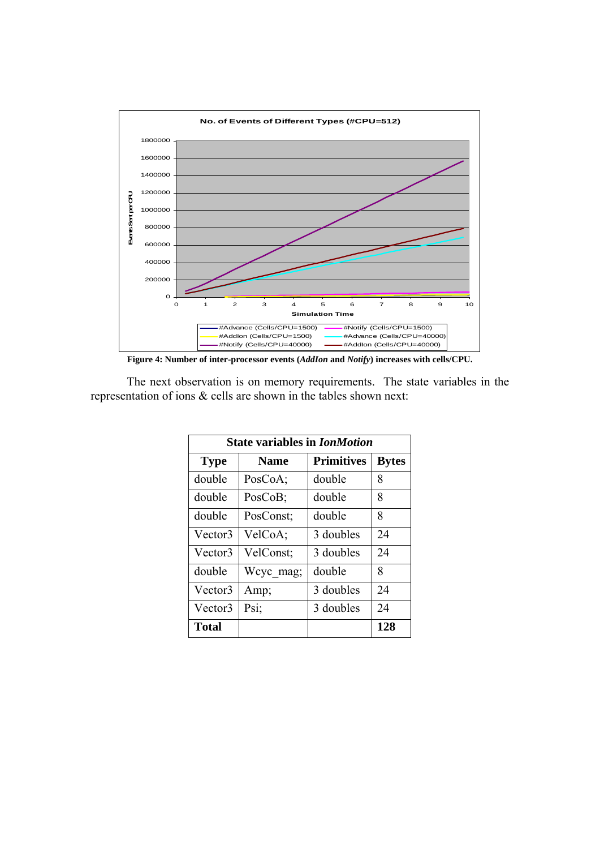

**Figure 4: Number of inter-processor events (***AddIon* **and** *Notify***) increases with cells/CPU.** 

<span id="page-7-0"></span>The next observation is on memory requirements. The state variables in the representation of ions & cells are shown in the tables shown next:

| <b>State variables in <i>IonMotion</i></b> |             |                   |              |  |
|--------------------------------------------|-------------|-------------------|--------------|--|
| <b>Type</b>                                | <b>Name</b> | <b>Primitives</b> | <b>Bytes</b> |  |
| double                                     | PosCoA;     | double            | 8            |  |
| double                                     | PosCoB;     | double            | 8            |  |
| double                                     | PosConst;   | double            | 8            |  |
| Vector3                                    | VelCoA;     | 3 doubles         | 24           |  |
| Vector3                                    | VelConst;   | 3 doubles         | 24           |  |
| double                                     | Weye mag;   | double            | 8            |  |
| Vector3                                    | Amp;        | 3 doubles         | 24           |  |
| Vector3                                    | Psi:        | 3 doubles         | 24           |  |
| Total                                      |             |                   | 128          |  |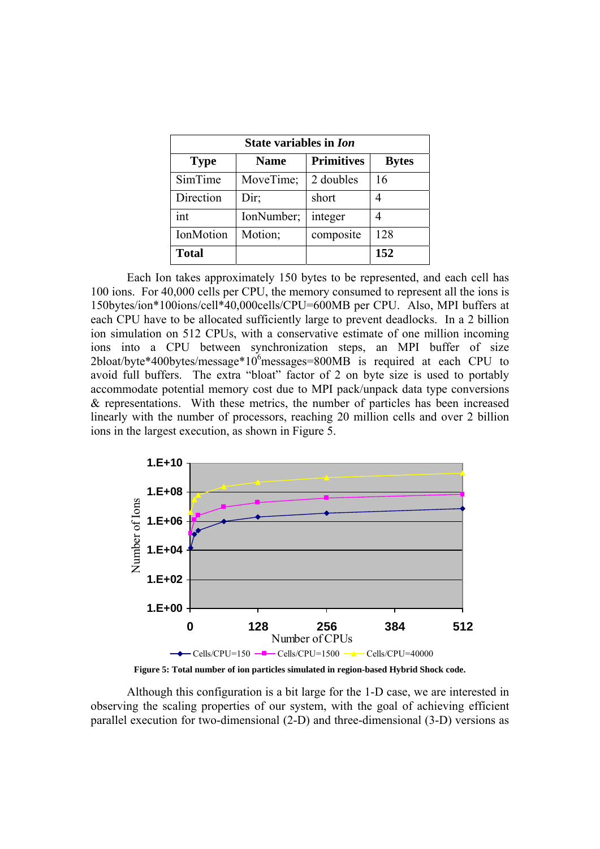| <b>State variables in Ion</b> |             |                   |              |  |
|-------------------------------|-------------|-------------------|--------------|--|
| <b>Type</b>                   | <b>Name</b> | <b>Primitives</b> | <b>Bytes</b> |  |
| SimTime                       | MoveTime;   | 2 doubles         | 16           |  |
| Direction                     | Dir:        | short             |              |  |
| int                           | IonNumber;  | integer           |              |  |
| IonMotion                     | Motion;     | composite         | 128          |  |
| <b>Total</b>                  |             |                   | 152          |  |

Each Ion takes approximately 150 bytes to be represented, and each cell has 100 ions. For 40,000 cells per CPU, the memory consumed to represent all the ions is 150bytes/ion\*100ions/cell\*40,000cells/CPU=600MB per CPU. Also, MPI buffers at each CPU have to be allocated sufficiently large to prevent deadlocks. In a 2 billion ion simulation on 512 CPUs, with a conservative estimate of one million incoming ions into a CPU between synchronization steps, an MPI buffer of size 2bloat/byte\*400bytes/message\*10<sup>6</sup>messages=800MB is required at each CPU to avoid full buffers. The extra "bloat" factor of 2 on byte size is used to portably accommodate potential memory cost due to MPI pack/unpack data type conversions & representations. With these metrics, the number of particles has been increased linearly with the number of processors, reaching 20 million cells and over 2 billion ions in the largest execution, as shown in [Figure 5.](#page-8-0)



**Figure 5: Total number of ion particles simulated in region-based Hybrid Shock code.** 

<span id="page-8-0"></span>Although this configuration is a bit large for the 1-D case, we are interested in observing the scaling properties of our system, with the goal of achieving efficient parallel execution for two-dimensional (2-D) and three-dimensional (3-D) versions as